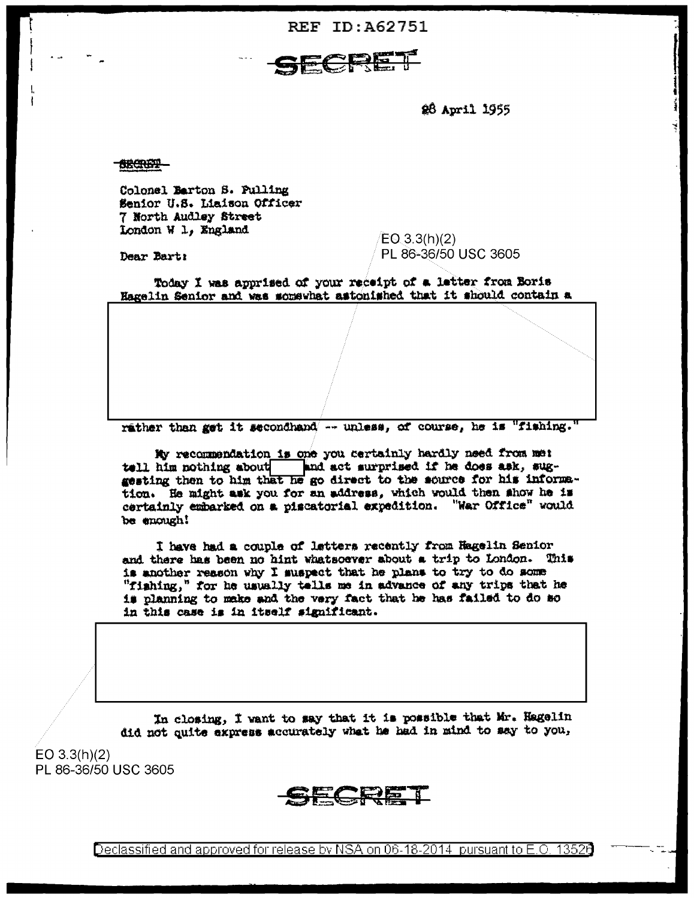**REF ID: A62751** 



28 April 1955

188000P-

Dear Bart:

Colonel Barton S. Pulling Senior U.S. Liaison Officer 7 North Audley Street London W 1, England

 $EO(3.3(h)(2))$ PL 86-36/50 USC 3605

Today I was apprised of your receipt of a letter from Boris Hagelin Senior and was somewhat astonished that it should contain a

rather than get it secondhand -- unless, of course, he is "fishing."

My recommendation is one you certainly hardly need from met tell him nothing about and act surprised if he does ask, suggesting then to him that he go direct to the source for his information. He might ask you for an address, which would then show he is certainly embarked on a piscatorial expedition. "War Office" would be enough!

I have had a couple of letters recently from Hagelin Senior and there has been no hint whatsoever about a trip to London. This is another reason why I suspect that he plans to try to do some "fishing," for he usually tells me in advance of any trips that he is planning to make and the very fact that he has failed to do so in this case is in itself significant.

In closing, I want to say that it is possible that Mr. Hagelin did not quite express accurately what he had in mind to say to you,

 $EO 3.3(h)(2)$ PL 86-36/50 USC 3605